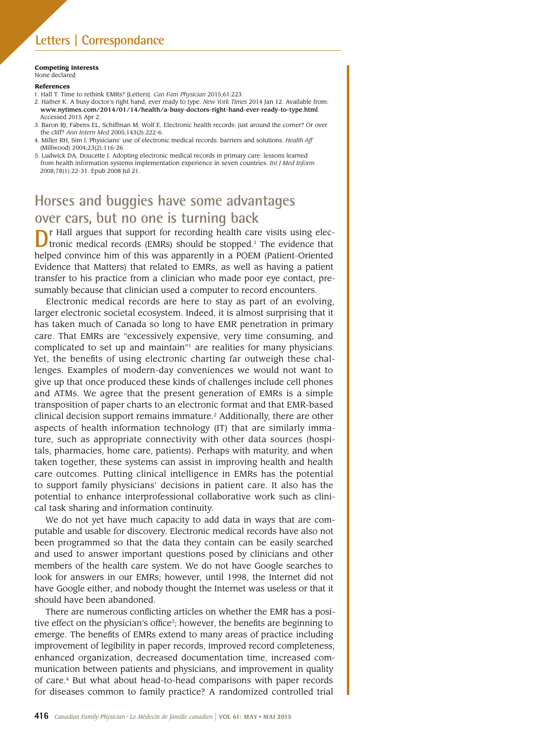#### **Competing interests** None declared

### **References**

- 1. Hall T. Time to rethink EMRs? [Letters]. *Can Fam Physician* 2015;61:223.
- 2. Hafner K. A busy doctor's right hand, ever ready to type. *New York Times* 2014 Jan 12. Available from: www.nytimes.com/2014/01/14/health/a-busy-doctors-right-hand-ever-ready-to-type.html. Accessed 2015 Apr 2.
- 3. Baron RJ, Fabens EL, Schiffman M, Wolf E. Electronic health records: just around the corner? Or over the cliff? *Ann Intern Med* 2005;143(3):222-6.
- 4. Miller RH, Sim I. Physicians' use of electronic medical records: barriers and solutions. *Health Aff* (Millwood) 2004;23(2):116-26.
- 5. Ludwick DA, Doucette J. Adopting electronic medical records in primary care: lessons learned from health information systems implementation experience in seven countries. *Int J Med Inform* 2008;78(1):22-31. Epub 2008 Jul 21.

# **Horses and buggies have some advantages over cars, but no one is turning back**

**D**r Hall argues that support for recording health care visits using electronic medical records (EMRs) should be stopped.<sup>1</sup> The evidence that helped convince him of this was apparently in a POEM (Patient-Oriented Evidence that Matters) that related to EMRs, as well as having a patient transfer to his practice from a clinician who made poor eye contact, presumably because that clinician used a computer to record encounters.

Electronic medical records are here to stay as part of an evolving, larger electronic societal ecosystem. Indeed, it is almost surprising that it has taken much of Canada so long to have EMR penetration in primary care. That EMRs are "excessively expensive, very time consuming, and complicated to set up and maintain"1 are realities for many physicians. Yet, the benefits of using electronic charting far outweigh these challenges. Examples of modern-day conveniences we would not want to give up that once produced these kinds of challenges include cell phones and ATMs. We agree that the present generation of EMRs is a simple transposition of paper charts to an electronic format and that EMR-based clinical decision support remains immature.2 Additionally, there are other aspects of health information technology (IT) that are similarly immature, such as appropriate connectivity with other data sources (hospitals, pharmacies, home care, patients). Perhaps with maturity, and when taken together, these systems can assist in improving health and health care outcomes. Putting clinical intelligence in EMRs has the potential to support family physicians' decisions in patient care. It also has the potential to enhance interprofessional collaborative work such as clinical task sharing and information continuity.

We do not yet have much capacity to add data in ways that are computable and usable for discovery. Electronic medical records have also not been programmed so that the data they contain can be easily searched and used to answer important questions posed by clinicians and other members of the health care system. We do not have Google searches to look for answers in our EMRs; however, until 1998, the Internet did not have Google either, and nobody thought the Internet was useless or that it should have been abandoned.

There are numerous conflicting articles on whether the EMR has a positive effect on the physician's office<sup>3</sup>; however, the benefits are beginning to emerge. The benefits of EMRs extend to many areas of practice including improvement of legibility in paper records, improved record completeness, enhanced organization, decreased documentation time, increased communication between patients and physicians, and improvement in quality of care.<sup>4</sup> But what about head-to-head comparisons with paper records for diseases common to family practice? A randomized controlled trial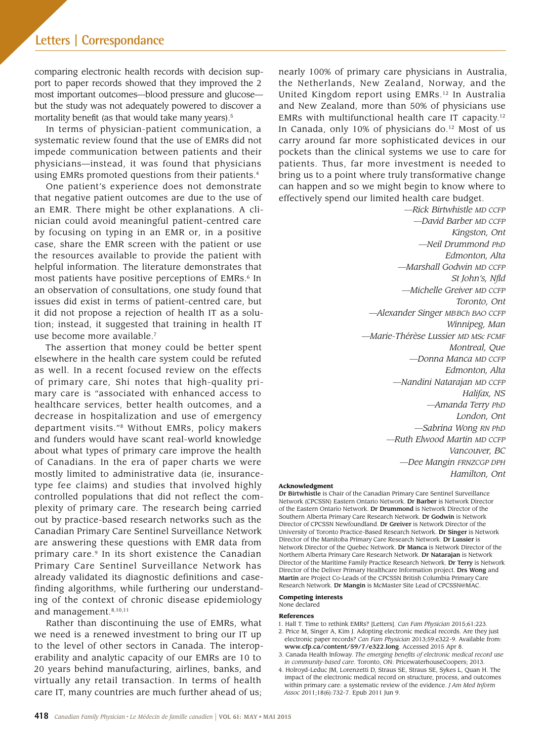comparing electronic health records with decision support to paper records showed that they improved the 2 most important outcomes—blood pressure and glucose but the study was not adequately powered to discover a mortality benefit (as that would take many years).<sup>5</sup>

In terms of physician-patient communication, a systematic review found that the use of EMRs did not impede communication between patients and their physicians—instead, it was found that physicians using EMRs promoted questions from their patients.<sup>4</sup>

One patient's experience does not demonstrate that negative patient outcomes are due to the use of an EMR. There might be other explanations. A clinician could avoid meaningful patient-centred care by focusing on typing in an EMR or, in a positive case, share the EMR screen with the patient or use the resources available to provide the patient with helpful information. The literature demonstrates that most patients have positive perceptions of EMRs.<sup>6</sup> In an observation of consultations, one study found that issues did exist in terms of patient-centred care, but it did not propose a rejection of health IT as a solution; instead, it suggested that training in health IT use become more available.<sup>7</sup>

The assertion that money could be better spent elsewhere in the health care system could be refuted as well. In a recent focused review on the effects of primary care, Shi notes that high-quality primary care is "associated with enhanced access to healthcare services, better health outcomes, and a decrease in hospitalization and use of emergency department visits."8 Without EMRs, policy makers and funders would have scant real-world knowledge about what types of primary care improve the health of Canadians. In the era of paper charts we were mostly limited to administrative data (ie, insurancetype fee claims) and studies that involved highly controlled populations that did not reflect the complexity of primary care. The research being carried out by practice-based research networks such as the Canadian Primary Care Sentinel Surveillance Network are answering these questions with EMR data from primary care.<sup>9</sup> In its short existence the Canadian Primary Care Sentinel Surveillance Network has already validated its diagnostic definitions and casefinding algorithms, while furthering our understanding of the context of chronic disease epidemiology and management.8,10,11

Rather than discontinuing the use of EMRs, what we need is a renewed investment to bring our IT up to the level of other sectors in Canada. The interoperability and analytic capacity of our EMRs are 10 to 20 years behind manufacturing, airlines, banks, and virtually any retail transaction. In terms of health care IT, many countries are much further ahead of us;

nearly 100% of primary care physicians in Australia, the Netherlands, New Zealand, Norway, and the United Kingdom report using EMRs.<sup>12</sup> In Australia and New Zealand, more than 50% of physicians use EMRs with multifunctional health care IT capacity.12 In Canada, only 10% of physicians do.<sup>12</sup> Most of us carry around far more sophisticated devices in our pockets than the clinical systems we use to care for patients. Thus, far more investment is needed to bring us to a point where truly transformative change can happen and so we might begin to know where to effectively spend our limited health care budget.

*—Rick Birtwhistle MD CCFP —David Barber MD CCFP Kingston, Ont —Neil Drummond PhD Edmonton, Alta —Marshall Godwin MD CCFP St John's, Nfld —Michelle Greiver MD CCFP Toronto, Ont —Alexander Singer MBBCh BAO CCFP Winnipeg, Man —Marie-Thérèse Lussier MD MSc FCMF Montreal, Que —Donna Manca MD CCFP Edmonton, Alta —Nandini Natarajan MD CCFP Halifax, NS —Amanda Terry PhD London, Ont —Sabrina Wong RN PhD —Ruth Elwood Martin MD CCFP Vancouver, BC —Dee Mangin FRNZCGP DPH Hamilton, Ont*

#### **Acknowledgment**

Dr Birtwhistle is Chair of the Canadian Primary Care Sentinel Surveillance Network (CPCSSN) Eastern Ontario Network. Dr Barber is Network Director of the Eastern Ontario Network. Dr Drummond is Network Director of the Southern Alberta Primary Care Research Network. Dr Godwin is Network Director of CPCSSN Newfoundland. Dr Greiver is Network Director of the University of Toronto Practice-Based Research Network. Dr Singer is Network Director of the Manitoba Primary Care Research Network. Dr Lussier is Network Director of the Quebec Network. Dr Manca is Network Director of the Northern Alberta Primary Care Research Network. Dr Natarajan is Network Director of the Maritime Family Practice Research Network. Dr Terry is Network Director of the Deliver Primary Healthcare Information project. Drs Wong and Martin are Project Co-Leads of the CPCSSN British Columbia Primary Care Research Network. Dr Mangin is McMaster Site Lead of CPCSSN@MAC.

# **Competing interests**

None declared

## **References**

- 1. Hall T. Time to rethink EMRs? [Letters]. *Can Fam Physician* 2015;61:223.
- 2. Price M, Singer A, Kim J. Adopting electronic medical records. Are they just electronic paper records? *Can Fam Physician* 2013;59:e322-9. Available from: www.cfp.ca/content/59/7/e322.long. Accessed 2015 Apr 8.
- 3. Canada Health Infoway. *The emerging benefits of electronic medical record use in community-based care*. Toronto, ON: PricewaterhouseCoopers; 2013.
- 4. Holroyd-Leduc JM, Lorenzetti D, Straus SE, Straus SE, Sykes L, Quan H. The impact of the electronic medical record on structure, process, and outcomes within primary care: a systematic review of the evidence. *J Am Med Inform Assoc* 2011;18(6):732-7. Epub 2011 Jun 9.